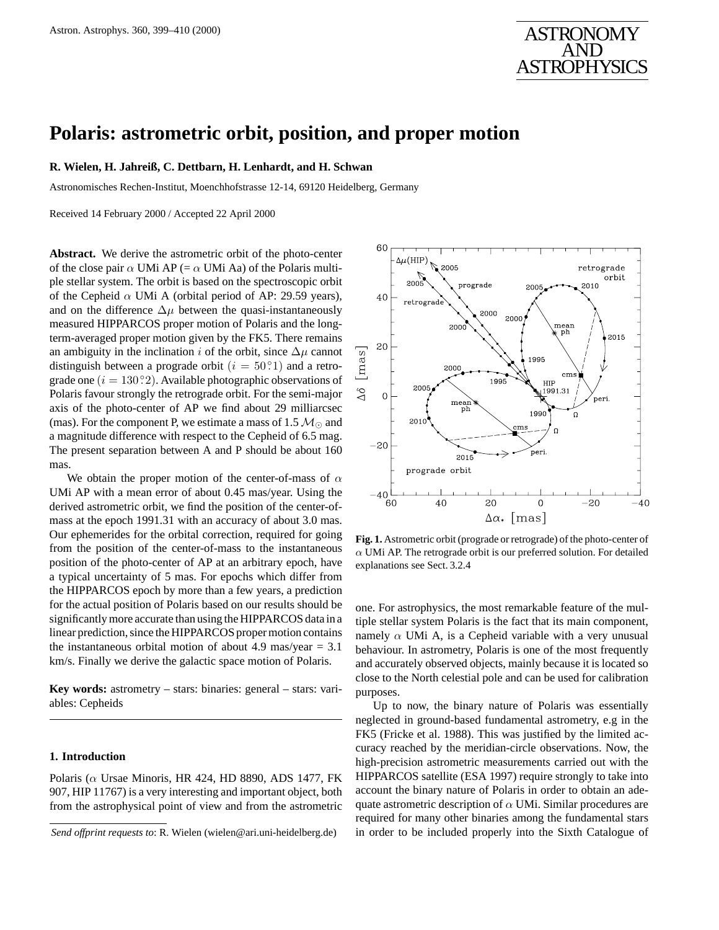# **Polaris: astrometric orbit, position, and proper motion**

### **R. Wielen, H. Jahreiß, C. Dettbarn, H. Lenhardt, and H. Schwan**

Astronomisches Rechen-Institut, Moenchhofstrasse 12-14, 69120 Heidelberg, Germany

Received 14 February 2000 / Accepted 22 April 2000

**Abstract.** We derive the astrometric orbit of the photo-center of the close pair  $\alpha$  UMi AP (=  $\alpha$  UMi Aa) of the Polaris multiple stellar system. The orbit is based on the spectroscopic orbit of the Cepheid  $\alpha$  UMi A (orbital period of AP: 29.59 years), and on the difference  $\Delta \mu$  between the quasi-instantaneously measured HIPPARCOS proper motion of Polaris and the longterm-averaged proper motion given by the FK5. There remains an ambiguity in the inclination i of the orbit, since  $\Delta \mu$  cannot distinguish between a prograde orbit  $(i = 50^{\circ}.)$  and a retrograde one  $(i = 130°2)$ . Available photographic observations of Polaris favour strongly the retrograde orbit. For the semi-major axis of the photo-center of AP we find about 29 milliarcsec (mas). For the component P, we estimate a mass of 1.5  $M_{\odot}$  and a magnitude difference with respect to the Cepheid of 6.5 mag. The present separation between A and P should be about 160 mas.

We obtain the proper motion of the center-of-mass of  $\alpha$ UMi AP with a mean error of about 0.45 mas/year. Using the derived astrometric orbit, we find the position of the center-ofmass at the epoch 1991.31 with an accuracy of about 3.0 mas. Our ephemerides for the orbital correction, required for going from the position of the center-of-mass to the instantaneous position of the photo-center of AP at an arbitrary epoch, have a typical uncertainty of 5 mas. For epochs which differ from the HIPPARCOS epoch by more than a few years, a prediction for the actual position of Polaris based on our results should be significantly more accurate than using the HIPPARCOS data in a linear prediction, since the HIPPARCOS proper motion contains the instantaneous orbital motion of about 4.9 mas/year  $= 3.1$ km/s. Finally we derive the galactic space motion of Polaris.

**Key words:** astrometry – stars: binaries: general – stars: variables: Cepheids

# **1. Introduction**

Polaris ( $\alpha$  Ursae Minoris, HR 424, HD 8890, ADS 1477, FK 907, HIP 11767) is a very interesting and important object, both from the astrophysical point of view and from the astrometric



**Fig. 1.** Astrometric orbit (prograde or retrograde) of the photo-center of  $\alpha$  UMi AP. The retrograde orbit is our preferred solution. For detailed explanations see Sect. 3.2.4

one. For astrophysics, the most remarkable feature of the multiple stellar system Polaris is the fact that its main component, namely  $\alpha$  UMi A, is a Cepheid variable with a very unusual behaviour. In astrometry, Polaris is one of the most frequently and accurately observed objects, mainly because it is located so close to the North celestial pole and can be used for calibration purposes.

Up to now, the binary nature of Polaris was essentially neglected in ground-based fundamental astrometry, e.g in the FK5 (Fricke et al. 1988). This was justified by the limited accuracy reached by the meridian-circle observations. Now, the high-precision astrometric measurements carried out with the HIPPARCOS satellite (ESA 1997) require strongly to take into account the binary nature of Polaris in order to obtain an adequate astrometric description of  $\alpha$  UMi. Similar procedures are required for many other binaries among the fundamental stars in order to be included properly into the Sixth Catalogue of

*Send offprint requests to*: R. Wielen (wielen@ari.uni-heidelberg.de)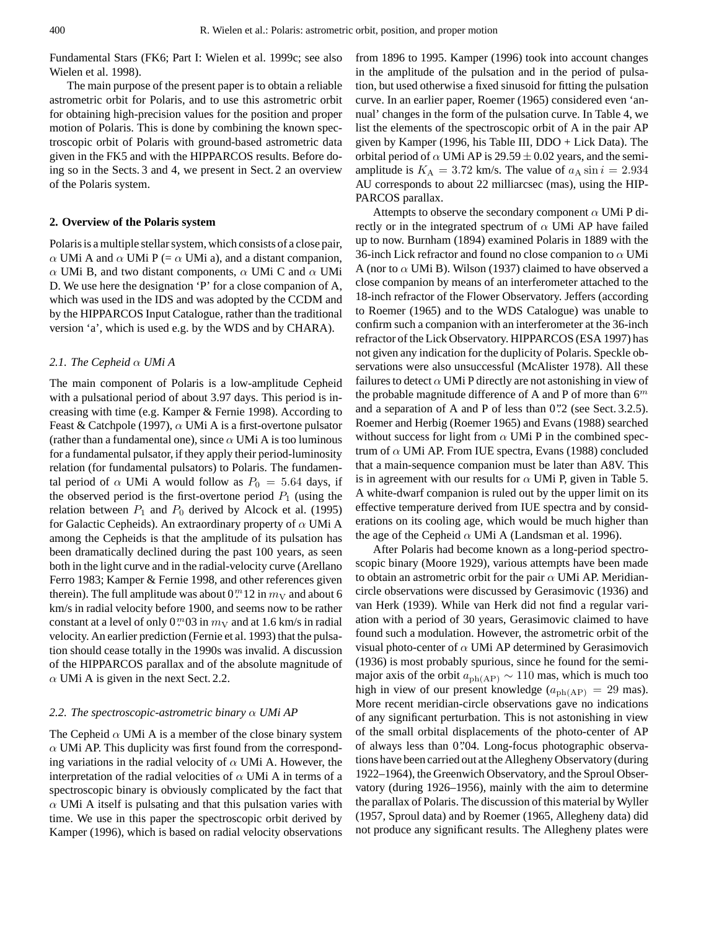Fundamental Stars (FK6; Part I: Wielen et al. 1999c; see also Wielen et al. 1998).

The main purpose of the present paper is to obtain a reliable astrometric orbit for Polaris, and to use this astrometric orbit for obtaining high-precision values for the position and proper motion of Polaris. This is done by combining the known spectroscopic orbit of Polaris with ground-based astrometric data given in the FK5 and with the HIPPARCOS results. Before doing so in the Sects. 3 and 4, we present in Sect. 2 an overview of the Polaris system.

### **2. Overview of the Polaris system**

Polaris is a multiple stellar system, which consists of a close pair,  $\alpha$  UMi A and  $\alpha$  UMi P (=  $\alpha$  UMi a), and a distant companion, α UMi B, and two distant components, α UMi C and α UMi D. We use here the designation 'P' for a close companion of A, which was used in the IDS and was adopted by the CCDM and by the HIPPARCOS Input Catalogue, rather than the traditional version 'a', which is used e.g. by the WDS and by CHARA).

### *2.1. The Cepheid* α *UMi A*

The main component of Polaris is a low-amplitude Cepheid with a pulsational period of about 3.97 days. This period is increasing with time (e.g. Kamper & Fernie 1998). According to Feast & Catchpole (1997),  $\alpha$  UMi A is a first-overtone pulsator (rather than a fundamental one), since  $\alpha$  UMi A is too luminous for a fundamental pulsator, if they apply their period-luminosity relation (for fundamental pulsators) to Polaris. The fundamental period of  $\alpha$  UMi A would follow as  $P_0 = 5.64$  days, if the observed period is the first-overtone period  $P_1$  (using the relation between  $P_1$  and  $P_0$  derived by Alcock et al. (1995) for Galactic Cepheids). An extraordinary property of  $\alpha$  UMi A among the Cepheids is that the amplitude of its pulsation has been dramatically declined during the past 100 years, as seen both in the light curve and in the radial-velocity curve (Arellano Ferro 1983; Kamper & Fernie 1998, and other references given therein). The full amplitude was about  $0<sup>m</sup>12$  in  $m<sub>V</sub>$  and about 6 km/s in radial velocity before 1900, and seems now to be rather constant at a level of only  $0^{m}03$  in  $m_{V}$  and at 1.6 km/s in radial velocity. An earlier prediction (Fernie et al. 1993) that the pulsation should cease totally in the 1990s was invalid. A discussion of the HIPPARCOS parallax and of the absolute magnitude of  $\alpha$  UMi A is given in the next Sect. 2.2.

### *2.2. The spectroscopic-astrometric binary* α *UMi AP*

The Cepheid  $\alpha$  UMi A is a member of the close binary system  $\alpha$  UMi AP. This duplicity was first found from the corresponding variations in the radial velocity of  $\alpha$  UMi A. However, the interpretation of the radial velocities of  $\alpha$  UMi A in terms of a spectroscopic binary is obviously complicated by the fact that  $\alpha$  UMi A itself is pulsating and that this pulsation varies with time. We use in this paper the spectroscopic orbit derived by Kamper (1996), which is based on radial velocity observations

from 1896 to 1995. Kamper (1996) took into account changes in the amplitude of the pulsation and in the period of pulsation, but used otherwise a fixed sinusoid for fitting the pulsation curve. In an earlier paper, Roemer (1965) considered even 'annual' changes in the form of the pulsation curve. In Table 4, we list the elements of the spectroscopic orbit of A in the pair AP given by Kamper (1996, his Table III, DDO + Lick Data). The orbital period of  $\alpha$  UMi AP is 29.59  $\pm$  0.02 years, and the semiamplitude is  $K_A = 3.72$  km/s. The value of  $a_A \sin i = 2.934$ AU corresponds to about 22 milliarcsec (mas), using the HIP-PARCOS parallax.

Attempts to observe the secondary component  $\alpha$  UMi P directly or in the integrated spectrum of  $\alpha$  UMi AP have failed up to now. Burnham (1894) examined Polaris in 1889 with the 36-inch Lick refractor and found no close companion to  $\alpha$  UMi A (nor to  $\alpha$  UMi B). Wilson (1937) claimed to have observed a close companion by means of an interferometer attached to the 18-inch refractor of the Flower Observatory. Jeffers (according to Roemer (1965) and to the WDS Catalogue) was unable to confirm such a companion with an interferometer at the 36-inch refractor of the Lick Observatory. HIPPARCOS (ESA 1997) has not given any indication for the duplicity of Polaris. Speckle observations were also unsuccessful (McAlister 1978). All these failures to detect  $\alpha$  UMi P directly are not astonishing in view of the probable magnitude difference of A and P of more than  $6^m$ and a separation of A and P of less than  $0$ .  $2$  (see Sect. 3.2.5). Roemer and Herbig (Roemer 1965) and Evans (1988) searched without success for light from  $\alpha$  UMi P in the combined spectrum of  $\alpha$  UMi AP. From IUE spectra, Evans (1988) concluded that a main-sequence companion must be later than A8V. This is in agreement with our results for  $\alpha$  UMi P, given in Table 5. A white-dwarf companion is ruled out by the upper limit on its effective temperature derived from IUE spectra and by considerations on its cooling age, which would be much higher than the age of the Cepheid  $\alpha$  UMi A (Landsman et al. 1996).

After Polaris had become known as a long-period spectroscopic binary (Moore 1929), various attempts have been made to obtain an astrometric orbit for the pair  $\alpha$  UMi AP. Meridiancircle observations were discussed by Gerasimovic (1936) and van Herk (1939). While van Herk did not find a regular variation with a period of 30 years, Gerasimovic claimed to have found such a modulation. However, the astrometric orbit of the visual photo-center of  $\alpha$  UMi AP determined by Gerasimovich (1936) is most probably spurious, since he found for the semimajor axis of the orbit  $a_{\rm ph(AP)} \sim 110$  mas, which is much too high in view of our present knowledge ( $a_{ph(AP)} = 29$  mas). More recent meridian-circle observations gave no indications of any significant perturbation. This is not astonishing in view of the small orbital displacements of the photo-center of AP of always less than 0.'04. Long-focus photographic observations have been carried out at the Allegheny Observatory (during 1922–1964), the Greenwich Observatory, and the Sproul Observatory (during 1926–1956), mainly with the aim to determine the parallax of Polaris. The discussion of this material by Wyller (1957, Sproul data) and by Roemer (1965, Allegheny data) did not produce any significant results. The Allegheny plates were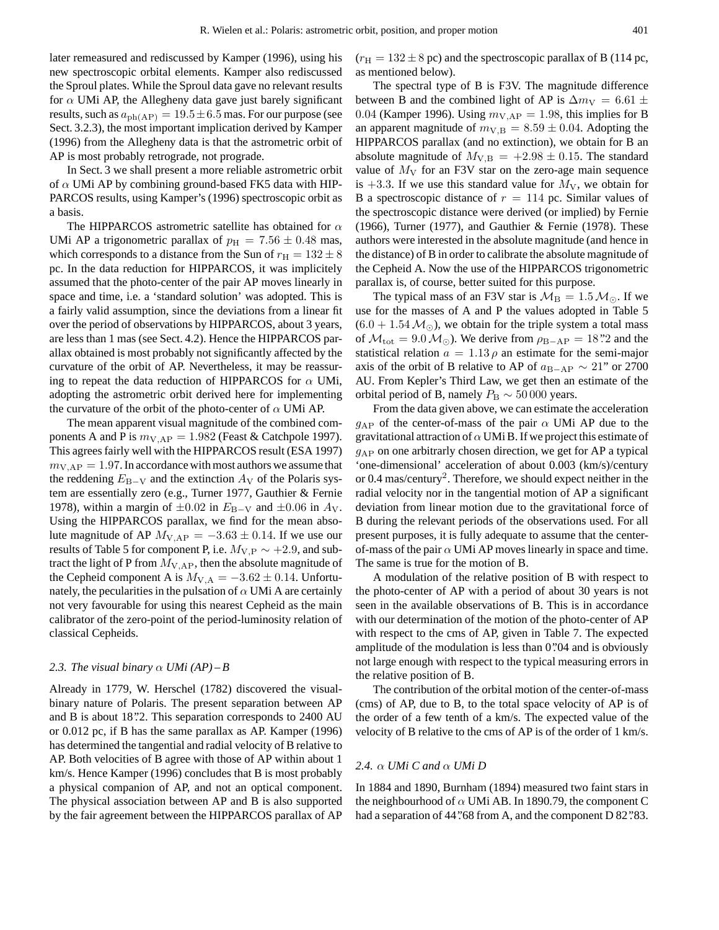later remeasured and rediscussed by Kamper (1996), using his new spectroscopic orbital elements. Kamper also rediscussed the Sproul plates. While the Sproul data gave no relevant results for  $\alpha$  UMi AP, the Allegheny data gave just barely significant results, such as  $a_{\text{ph}(AP)} = 19.5 \pm 6.5$  mas. For our purpose (see Sect. 3.2.3), the most important implication derived by Kamper (1996) from the Allegheny data is that the astrometric orbit of AP is most probably retrograde, not prograde.

In Sect. 3 we shall present a more reliable astrometric orbit of  $\alpha$  UMi AP by combining ground-based FK5 data with HIP-PARCOS results, using Kamper's (1996) spectroscopic orbit as a basis.

The HIPPARCOS astrometric satellite has obtained for  $\alpha$ UMi AP a trigonometric parallax of  $p_H = 7.56 \pm 0.48$  mas, which corresponds to a distance from the Sun of  $r_{\text{H}} = 132 \pm 8$ pc. In the data reduction for HIPPARCOS, it was implicitely assumed that the photo-center of the pair AP moves linearly in space and time, i.e. a 'standard solution' was adopted. This is a fairly valid assumption, since the deviations from a linear fit over the period of observations by HIPPARCOS, about 3 years, are less than 1 mas (see Sect. 4.2). Hence the HIPPARCOS parallax obtained is most probably not significantly affected by the curvature of the orbit of AP. Nevertheless, it may be reassuring to repeat the data reduction of HIPPARCOS for  $\alpha$  UMi, adopting the astrometric orbit derived here for implementing the curvature of the orbit of the photo-center of  $\alpha$  UMi AP.

The mean apparent visual magnitude of the combined components A and P is  $m_{V,AP} = 1.982$  (Feast & Catchpole 1997). This agrees fairly well with the HIPPARCOS result (ESA 1997)  $m_{V,AP} = 1.97$ . In accordance with most authors we assume that the reddening  $E_{\text{B-V}}$  and the extinction  $A_{\text{V}}$  of the Polaris system are essentially zero (e.g., Turner 1977, Gauthier & Fernie 1978), within a margin of  $\pm 0.02$  in  $E_{B-V}$  and  $\pm 0.06$  in  $A_V$ . Using the HIPPARCOS parallax, we find for the mean absolute magnitude of AP  $M_{V,AP} = -3.63 \pm 0.14$ . If we use our results of Table 5 for component P, i.e.  $M_{V,P} \sim +2.9$ , and subtract the light of P from  $M_{V,AP}$ , then the absolute magnitude of the Cepheid component A is  $M_{V,A} = -3.62 \pm 0.14$ . Unfortunately, the pecularities in the pulsation of  $\alpha$  UMi A are certainly not very favourable for using this nearest Cepheid as the main calibrator of the zero-point of the period-luminosity relation of classical Cepheids.

# 2.3. The visual binary  $\alpha$  *UMi* (AP) – B

Already in 1779, W. Herschel (1782) discovered the visualbinary nature of Polaris. The present separation between AP and B is about 18".2. This separation corresponds to 2400 AU or 0.012 pc, if B has the same parallax as AP. Kamper (1996) has determined the tangential and radial velocity of B relative to AP. Both velocities of B agree with those of AP within about 1 km/s. Hence Kamper (1996) concludes that B is most probably a physical companion of AP, and not an optical component. The physical association between AP and B is also supported by the fair agreement between the HIPPARCOS parallax of AP  $(r_{\rm H} = 132 \pm 8 \,\text{pc})$  and the spectroscopic parallax of B (114 pc, as mentioned below).

The spectral type of B is F3V. The magnitude difference between B and the combined light of AP is  $\Delta m_V = 6.61 \pm$ 0.04 (Kamper 1996). Using  $m_{V,AP} = 1.98$ , this implies for B an apparent magnitude of  $m_{V,B} = 8.59 \pm 0.04$ . Adopting the HIPPARCOS parallax (and no extinction), we obtain for B an absolute magnitude of  $M_{V,B} = +2.98 \pm 0.15$ . The standard value of  $M_V$  for an F3V star on the zero-age main sequence is +3.3. If we use this standard value for  $M_V$ , we obtain for B a spectroscopic distance of  $r = 114$  pc. Similar values of the spectroscopic distance were derived (or implied) by Fernie (1966), Turner (1977), and Gauthier & Fernie (1978). These authors were interested in the absolute magnitude (and hence in the distance) of B in order to calibrate the absolute magnitude of the Cepheid A. Now the use of the HIPPARCOS trigonometric parallax is, of course, better suited for this purpose.

The typical mass of an F3V star is  $\mathcal{M}_{\rm B} = 1.5 \,\mathcal{M}_{\odot}$ . If we use for the masses of A and P the values adopted in Table 5  $(6.0 + 1.54 \, \mathcal{M}_{\odot})$ , we obtain for the triple system a total mass of  $\mathcal{M}_{\text{tot}} = 9.0 \,\mathcal{M}_{\odot}$ ). We derive from  $\rho_{\text{B-AP}} = 18\degree$ ? and the statistical relation  $a = 1.13 \rho$  an estimate for the semi-major axis of the orbit of B relative to AP of  $a_{\text{B–AP}} \sim 21$ " or 2700 AU. From Kepler's Third Law, we get then an estimate of the orbital period of B, namely  $P_B \sim 50000$  years.

From the data given above, we can estimate the acceleration  $g_{AP}$  of the center-of-mass of the pair  $\alpha$  UMi AP due to the gravitational attraction of  $\alpha$  UMi B. If we project this estimate of  $g_{AP}$  on one arbitrarly chosen direction, we get for AP a typical 'one-dimensional' acceleration of about 0.003 (km/s)/century or 0.4 mas/century<sup>2</sup>. Therefore, we should expect neither in the radial velocity nor in the tangential motion of AP a significant deviation from linear motion due to the gravitational force of B during the relevant periods of the observations used. For all present purposes, it is fully adequate to assume that the centerof-mass of the pair  $\alpha$  UMi AP moves linearly in space and time. The same is true for the motion of B.

A modulation of the relative position of B with respect to the photo-center of AP with a period of about 30 years is not seen in the available observations of B. This is in accordance with our determination of the motion of the photo-center of AP with respect to the cms of AP, given in Table 7. The expected amplitude of the modulation is less than 0.  $0.04$  and is obviously not large enough with respect to the typical measuring errors in the relative position of B.

The contribution of the orbital motion of the center-of-mass (cms) of AP, due to B, to the total space velocity of AP is of the order of a few tenth of a km/s. The expected value of the velocity of B relative to the cms of AP is of the order of 1 km/s.

### *2.4.* α *UMi C and* α *UMi D*

In 1884 and 1890, Burnham (1894) measured two faint stars in the neighbourhood of  $\alpha$  UMi AB. In 1890.79, the component C had a separation of 44".68 from A, and the component D 82".83.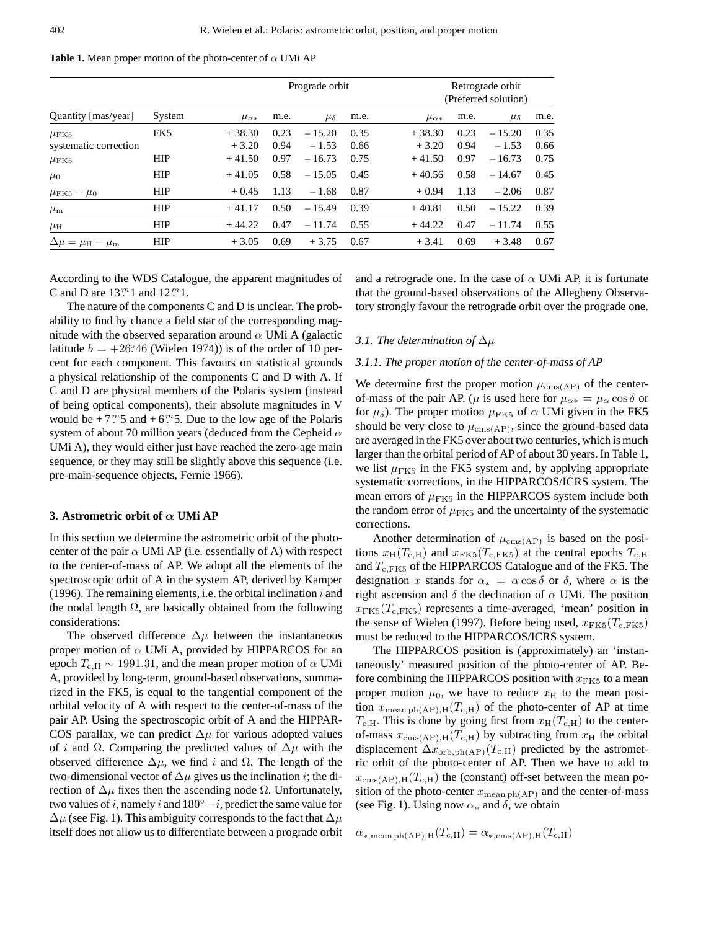**Table 1.** Mean proper motion of the photo-center of  $\alpha$  UMi AP

|                                          |            |                 | Prograde orbit |                |      |                 | Retrograde orbit<br>(Preferred solution) |                |      |  |
|------------------------------------------|------------|-----------------|----------------|----------------|------|-----------------|------------------------------------------|----------------|------|--|
| Quantity [mas/year]                      | System     | $\mu_{\alpha*}$ | m.e.           | $\mu_{\delta}$ | m.e. | $\mu_{\alpha*}$ | m.e.                                     | $\mu_{\delta}$ | m.e. |  |
| $\mu$ FK5                                | FK5        | $+38.30$        | 0.23           | $-15.20$       | 0.35 | $+38.30$        | 0.23                                     | $-15.20$       | 0.35 |  |
| systematic correction                    |            | $+3.20$         | 0.94           | $-1.53$        | 0.66 | $+3.20$         | 0.94                                     | $-1.53$        | 0.66 |  |
| $\mu$ FK5                                | <b>HIP</b> | $+41.50$        | 0.97           | $-16.73$       | 0.75 | $+41.50$        | 0.97                                     | $-16.73$       | 0.75 |  |
| $\mu_0$                                  | <b>HIP</b> | $+41.05$        | 0.58           | $-15.05$       | 0.45 | $+40.56$        | 0.58                                     | $-14.67$       | 0.45 |  |
| $\mu$ FK5 – $\mu$ <sub>0</sub>           | <b>HIP</b> | $+0.45$         | 1.13           | $-1.68$        | 0.87 | $+0.94$         | 1.13                                     | $-2.06$        | 0.87 |  |
| $\mu_{\rm m}$                            | <b>HIP</b> | $+41.17$        | 0.50           | $-15.49$       | 0.39 | $+40.81$        | 0.50                                     | $-15.22$       | 0.39 |  |
| $\mu_{\rm H}$                            | <b>HIP</b> | $+44.22$        | 0.47           | $-11.74$       | 0.55 | $+44.22$        | 0.47                                     | $-11.74$       | 0.55 |  |
| $\Delta \mu = \mu_{\rm H} - \mu_{\rm m}$ | <b>HIP</b> | $+3.05$         | 0.69           | $+3.75$        | 0.67 | $+3.41$         | 0.69                                     | $+3.48$        | 0.67 |  |

According to the WDS Catalogue, the apparent magnitudes of C and D are  $13<sup>m</sup>1$  and  $12<sup>m</sup>1$ .

The nature of the components C and D is unclear. The probability to find by chance a field star of the corresponding magnitude with the observed separation around  $\alpha$  UMi A (galactic latitude  $b = +26^{\circ}46$  (Wielen 1974)) is of the order of 10 percent for each component. This favours on statistical grounds a physical relationship of the components C and D with A. If C and D are physical members of the Polaris system (instead of being optical components), their absolute magnitudes in V would be  $+7<sup>m</sup>5$  and  $+6<sup>m</sup>5$ . Due to the low age of the Polaris system of about 70 million years (deduced from the Cepheid  $\alpha$ UMi A), they would either just have reached the zero-age main sequence, or they may still be slightly above this sequence (i.e. pre-main-sequence objects, Fernie 1966).

### **3. Astrometric orbit of** α **UMi AP**

In this section we determine the astrometric orbit of the photocenter of the pair  $\alpha$  UMi AP (i.e. essentially of A) with respect to the center-of-mass of AP. We adopt all the elements of the spectroscopic orbit of A in the system AP, derived by Kamper (1996). The remaining elements, i.e. the orbital inclination  $i$  and the nodal length  $\Omega$ , are basically obtained from the following considerations:

The observed difference  $\Delta \mu$  between the instantaneous proper motion of  $\alpha$  UMi A, provided by HIPPARCOS for an epoch  $T_{c,H} \sim 1991.31$ , and the mean proper motion of  $\alpha$  UMi A, provided by long-term, ground-based observations, summarized in the FK5, is equal to the tangential component of the orbital velocity of A with respect to the center-of-mass of the pair AP. Using the spectroscopic orbit of A and the HIPPAR-COS parallax, we can predict  $\Delta \mu$  for various adopted values of *i* and  $\Omega$ . Comparing the predicted values of  $\Delta \mu$  with the observed difference  $\Delta \mu$ , we find i and  $\Omega$ . The length of the two-dimensional vector of  $\Delta \mu$  gives us the inclination *i*; the direction of  $\Delta \mu$  fixes then the ascending node  $\Omega$ . Unfortunately, two values of i, namely i and  $180°-i$ , predict the same value for  $\Delta\mu$  (see Fig. 1). This ambiguity corresponds to the fact that  $\Delta\mu$ itself does not allow us to differentiate between a prograde orbit and a retrograde one. In the case of  $\alpha$  UMi AP, it is fortunate that the ground-based observations of the Allegheny Observatory strongly favour the retrograde orbit over the prograde one.

# *3.1. The determination of* ∆µ

### *3.1.1. The proper motion of the center-of-mass of AP*

We determine first the proper motion  $\mu_{\text{cms}(AP)}$  of the centerof-mass of the pair AP. ( $\mu$  is used here for  $\mu_{\alpha*} = \mu_\alpha \cos \delta$  or for  $\mu_{\delta}$ ). The proper motion  $\mu$ <sub>FK5</sub> of  $\alpha$  UMi given in the FK5 should be very close to  $\mu_{\text{cms}(AP)}$ , since the ground-based data are averaged in the FK5 over about two centuries, which is much larger than the orbital period of AP of about 30 years. In Table 1, we list  $\mu$ <sub>FK5</sub> in the FK5 system and, by applying appropriate systematic corrections, in the HIPPARCOS/ICRS system. The mean errors of  $\mu$ <sub>FK5</sub> in the HIPPARCOS system include both the random error of  $\mu$ <sub>FK5</sub> and the uncertainty of the systematic corrections.

Another determination of  $\mu_{\text{cms}(AP)}$  is based on the positions  $x_{\text{H}}(T_{\text{c,H}})$  and  $x_{\text{FK5}}(T_{\text{c,FK5}})$  at the central epochs  $T_{\text{c,H}}$ and  $T_{c,FK5}$  of the HIPPARCOS Catalogue and of the FK5. The designation x stands for  $\alpha_* = \alpha \cos \delta$  or  $\delta$ , where  $\alpha$  is the right ascension and  $\delta$  the declination of  $\alpha$  UMi. The position  $x_{\text{FK}_5}(T_{\text{c},\text{FK}_5})$  represents a time-averaged, 'mean' position in the sense of Wielen (1997). Before being used,  $x_{\text{FK5}}(T_{\text{c,FK5}})$ must be reduced to the HIPPARCOS/ICRS system.

The HIPPARCOS position is (approximately) an 'instantaneously' measured position of the photo-center of AP. Before combining the HIPPARCOS position with  $x_{\text{FK}5}$  to a mean proper motion  $\mu_0$ , we have to reduce  $x_H$  to the mean position  $x_{\text{mean ph}(AP), H}(T_{c,H})$  of the photo-center of AP at time  $T_{\rm c,H}$ . This is done by going first from  $x_{\rm H}(T_{\rm c,H})$  to the centerof-mass  $x_{\text{cms}(AP),H}(T_{c,H})$  by subtracting from  $x_H$  the orbital displacement  $\Delta x_{\text{orb,ph(AP)}}(T_{c,H})$  predicted by the astrometric orbit of the photo-center of AP. Then we have to add to  $x_{\rm cms(AP),H}(T_{\rm c,H})$  the (constant) off-set between the mean position of the photo-center  $x_{\text{mean ph}(AP)}$  and the center-of-mass (see Fig. 1). Using now  $\alpha_*$  and  $\delta$ , we obtain

$$
\alpha_{*,\text{mean ph (AP)},\text{H}}(T_{\text{c,H}}) = \alpha_{*,\text{cms (AP)},\text{H}}(T_{\text{c,H}})
$$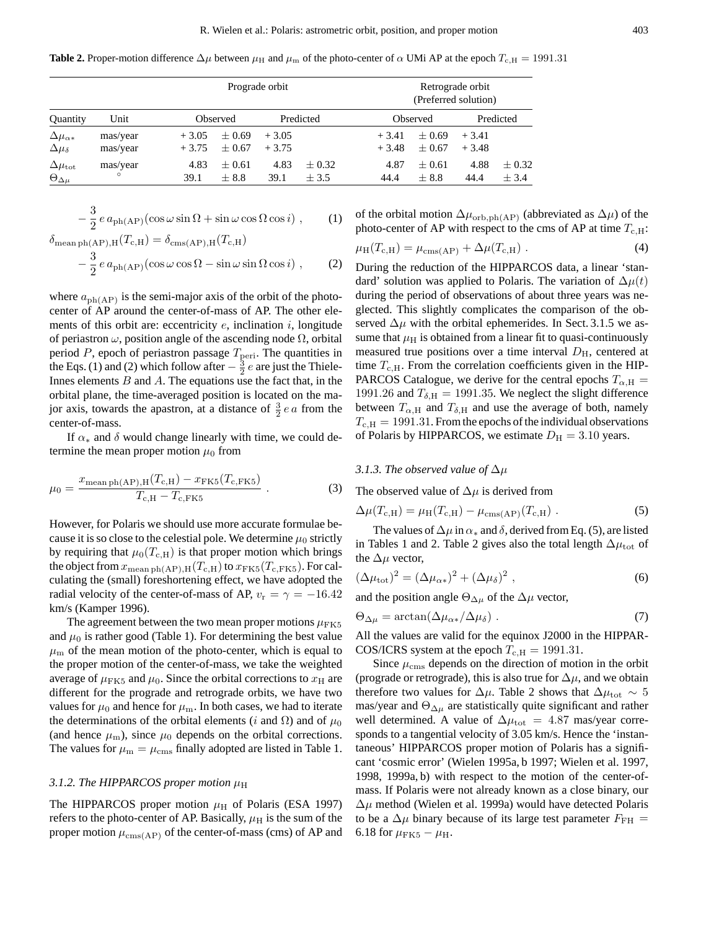**Table 2.** Proper-motion difference  $\Delta\mu$  between  $\mu_H$  and  $\mu_m$  of the photo-center of  $\alpha$  UMi AP at the epoch  $T_{c,H} = 1991.31$ 

| Prograde orbit                                 |                      |                    |                      |                    |                         |                    | Retrograde orbit<br>(Preferred solution) |                    |                  |  |  |
|------------------------------------------------|----------------------|--------------------|----------------------|--------------------|-------------------------|--------------------|------------------------------------------|--------------------|------------------|--|--|
| <b>Quantity</b>                                | Unit                 |                    | Observed             | Predicted          |                         |                    | Observed                                 |                    | Predicted        |  |  |
| $\Delta\mu_{\alpha*}$<br>$\Delta \mu_{\delta}$ | mas/year<br>mas/year | $+3.05$<br>$+3.75$ | $+0.69$<br>$+0.67$   | $+3.05$<br>$+3.75$ |                         | $+3.41$<br>$+3.48$ | $+0.69$<br>$+0.67$                       | $+3.41$<br>$+3.48$ |                  |  |  |
| $\Delta \mu_{\rm tot}$<br>$\Theta_{\Delta\mu}$ | mas/year<br>$\circ$  | 4.83<br>39.1       | $+0.61$<br>$\pm 8.8$ | 4.83<br>39.1       | $\pm 0.32$<br>$\pm$ 3.5 | 4.87<br>44.4       | $+0.61$<br>$\pm 8.8$                     | 4.88<br>44.4       | $+0.32$<br>± 3.4 |  |  |

$$
-\frac{3}{2}e a_{\text{ph}(AP)}(\cos\omega\sin\Omega + \sin\omega\cos\Omega\cos i) , \qquad (1)
$$
  

$$
\delta_{\text{mean}+b(\text{AP})}u(T_{c}u) = \delta_{\text{mean}(AP)}u(T_{c}u)
$$

mean pn(*AP*), *H* (
$$
\pm
$$
 *c*, *H*) =  $\sigma$ <sub>cms(*AP*), *H* ( $\pm$  *c*, *H*)  
\n
$$
- \frac{3}{2} e a_{ph(AP)} (\cos \omega \cos \Omega - \sin \omega \sin \Omega \cos i) , \qquad (2)
$$</sub>

where  $a_{ph(AP)}$  is the semi-major axis of the orbit of the photocenter of AP around the center-of-mass of AP. The other elements of this orbit are: eccentricity  $e$ , inclination  $i$ , longitude of periastron  $\omega$ , position angle of the ascending node  $\Omega$ , orbital period P, epoch of periastron passage  $T_{\text{peri}}$ . The quantities in the Eqs. (1) and (2) which follow after  $-\frac{3}{2}e$  are just the Thiele-Innes elements  $B$  and  $A$ . The equations use the fact that, in the orbital plane, the time-averaged position is located on the major axis, towards the apastron, at a distance of  $\frac{3}{2}$  *e a* from the center-of-mass.

If  $\alpha_*$  and  $\delta$  would change linearly with time, we could determine the mean proper motion  $\mu_0$  from

$$
\mu_0 = \frac{x_{\text{mean ph}(AP), H}(T_{c,H}) - x_{\text{FK5}}(T_{c,\text{FK5}})}{T_{c,H} - T_{c,\text{FK5}}}
$$
 (3)

However, for Polaris we should use more accurate formulae because it is so close to the celestial pole. We determine  $\mu_0$  strictly by requiring that  $\mu_0(T_{c,H})$  is that proper motion which brings the object from  $x_{\text{mean ph}(AP),H}(T_{c,H})$  to  $x_{\text{FK5}}(T_{c,\text{FK5}})$ . For calculating the (small) foreshortening effect, we have adopted the radial velocity of the center-of-mass of AP,  $v_r = \gamma = -16.42$ km/s (Kamper 1996).

The agreement between the two mean proper motions  $\mu$ <sub>FK5</sub> and  $\mu_0$  is rather good (Table 1). For determining the best value  $\mu_{\rm m}$  of the mean motion of the photo-center, which is equal to the proper motion of the center-of-mass, we take the weighted average of  $\mu$ <sub>FK5</sub> and  $\mu$ <sub>0</sub>. Since the orbital corrections to  $x_H$  are different for the prograde and retrograde orbits, we have two values for  $\mu_0$  and hence for  $\mu_{\rm m}$ . In both cases, we had to iterate the determinations of the orbital elements (i and  $\Omega$ ) and of  $\mu_0$ (and hence  $\mu_{\rm m}$ ), since  $\mu_0$  depends on the orbital corrections. The values for  $\mu_{\rm m} = \mu_{\rm cms}$  finally adopted are listed in Table 1.

# 3.1.2. The HIPPARCOS proper motion  $\mu$ <sup>H</sup>

The HIPPARCOS proper motion  $\mu$ <sub>H</sub> of Polaris (ESA 1997) refers to the photo-center of AP. Basically,  $\mu_H$  is the sum of the proper motion  $\mu_{\text{cms}(AP)}$  of the center-of-mass (cms) of AP and of the orbital motion  $\Delta \mu_{\rm orb,ph(AP)}$  (abbreviated as  $\Delta \mu$ ) of the photo-center of AP with respect to the cms of AP at time  $T_{c,H}$ :

$$
\mu_{\rm H}(T_{\rm c,H}) = \mu_{\rm cms(AP)} + \Delta \mu(T_{\rm c,H}) \ . \tag{4}
$$

During the reduction of the HIPPARCOS data, a linear 'standard' solution was applied to Polaris. The variation of  $\Delta \mu(t)$ during the period of observations of about three years was neglected. This slightly complicates the comparison of the observed  $\Delta \mu$  with the orbital ephemerides. In Sect. 3.1.5 we assume that  $\mu_H$  is obtained from a linear fit to quasi-continuously measured true positions over a time interval  $D_{\rm H}$ , centered at time  $T_{c,H}$ . From the correlation coefficients given in the HIP-PARCOS Catalogue, we derive for the central epochs  $T_{\alpha,H}$  = 1991.26 and  $T_{\delta,H} = 1991.35$ . We neglect the slight difference between  $T_{\alpha,H}$  and  $T_{\delta,H}$  and use the average of both, namely  $T_{\rm c,H} = 1991.31$ . From the epochs of the individual observations of Polaris by HIPPARCOS, we estimate  $D<sub>H</sub> = 3.10$  years.

### *3.1.3. The observed value of* ∆µ

The observed value of  $\Delta \mu$  is derived from

$$
\Delta \mu(T_{\rm c,H}) = \mu_{\rm H}(T_{\rm c,H}) - \mu_{\rm cms(AP)}(T_{\rm c,H}) \ . \tag{5}
$$

The values of  $\Delta \mu$  in  $\alpha_*$  and  $\delta$ , derived from Eq. (5), are listed in Tables 1 and 2. Table 2 gives also the total length  $\Delta \mu_{tot}$  of the  $\Delta \mu$  vector,

$$
(\Delta\mu_{\rm tot})^2 = (\Delta\mu_{\alpha*})^2 + (\Delta\mu_{\delta})^2 , \qquad (6)
$$

and the position angle  $\Theta_{\Delta\mu}$  of the  $\Delta\mu$  vector,

$$
\Theta_{\Delta\mu} = \arctan(\Delta\mu_{\alpha*}/\Delta\mu_{\delta})\ . \tag{7}
$$

All the values are valid for the equinox J2000 in the HIPPAR-COS/ICRS system at the epoch  $T_{c,H} = 1991.31$ .

Since  $\mu_{\rm cms}$  depends on the direction of motion in the orbit (prograde or retrograde), this is also true for  $\Delta \mu$ , and we obtain therefore two values for  $\Delta \mu$ . Table 2 shows that  $\Delta \mu_{tot} \sim 5$ mas/year and  $\Theta_{\Delta\mu}$  are statistically quite significant and rather well determined. A value of  $\Delta \mu_{\rm tot} = 4.87$  mas/year corresponds to a tangential velocity of 3.05 km/s. Hence the 'instantaneous' HIPPARCOS proper motion of Polaris has a significant 'cosmic error' (Wielen 1995a, b 1997; Wielen et al. 1997, 1998, 1999a, b) with respect to the motion of the center-ofmass. If Polaris were not already known as a close binary, our  $\Delta \mu$  method (Wielen et al. 1999a) would have detected Polaris to be a  $\Delta \mu$  binary because of its large test parameter  $F_{\text{FH}} =$ 6.18 for  $\mu$ <sub>FK5</sub> –  $\mu$ <sub>H</sub>.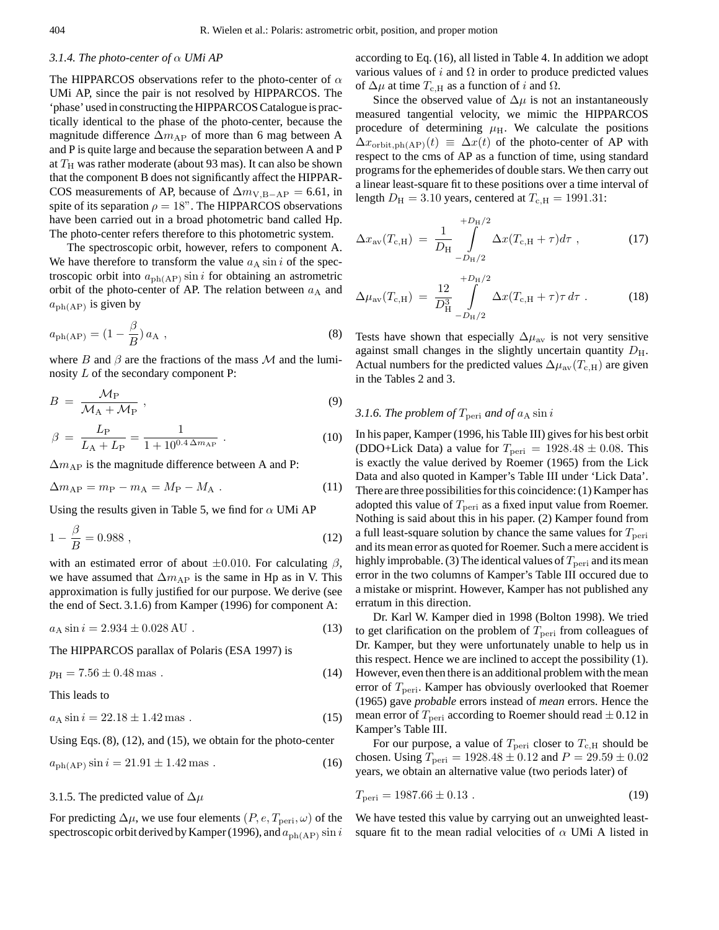# *3.1.4. The photo-center of* α *UMi AP*

The HIPPARCOS observations refer to the photo-center of  $\alpha$ UMi AP, since the pair is not resolved by HIPPARCOS. The 'phase' used in constructing the HIPPARCOS Catalogue is practically identical to the phase of the photo-center, because the magnitude difference  $\Delta m_{AP}$  of more than 6 mag between A and P is quite large and because the separation between A and P at  $T<sub>H</sub>$  was rather moderate (about 93 mas). It can also be shown that the component B does not significantly affect the HIPPAR-COS measurements of AP, because of  $\Delta m_{V,B-AP} = 6.61$ , in spite of its separation  $\rho = 18$ ". The HIPPARCOS observations have been carried out in a broad photometric band called Hp. The photo-center refers therefore to this photometric system.

The spectroscopic orbit, however, refers to component A. We have therefore to transform the value  $a<sub>A</sub> \sin i$  of the spectroscopic orbit into  $a_{ph(AP)}$  sin i for obtaining an astrometric orbit of the photo-center of AP. The relation between  $a_A$  and  $a_{ph(AP)}$  is given by

$$
a_{\text{ph}(AP)} = \left(1 - \frac{\beta}{B}\right) a_A \tag{8}
$$

where B and  $\beta$  are the fractions of the mass M and the luminosity L of the secondary component P:

$$
B = \frac{\mathcal{M}_{\rm P}}{\mathcal{M}_{\rm A} + \mathcal{M}_{\rm P}}\,,\tag{9}
$$

$$
\beta = \frac{L_{\rm P}}{L_{\rm A} + L_{\rm P}} = \frac{1}{1 + 10^{0.4 \Delta m_{\rm AP}}} \ . \tag{10}
$$

 $\Delta m_{\rm AP}$  is the magnitude difference between A and P:

$$
\Delta m_{\rm AP} = m_{\rm P} - m_{\rm A} = M_{\rm P} - M_{\rm A} \tag{11}
$$

Using the results given in Table 5, we find for  $\alpha$  UMi AP

$$
1 - \frac{\beta}{B} = 0.988 \,, \tag{12}
$$

with an estimated error of about  $\pm 0.010$ . For calculating  $\beta$ , we have assumed that  $\Delta m_{AP}$  is the same in Hp as in V. This approximation is fully justified for our purpose. We derive (see the end of Sect. 3.1.6) from Kamper (1996) for component A:

$$
a_{\rm A}\sin i = 2.934 \pm 0.028\,\text{AU} \,. \tag{13}
$$

The HIPPARCOS parallax of Polaris (ESA 1997) is

$$
p_{\rm H} = 7.56 \pm 0.48 \,\text{mas} \tag{14}
$$

This leads to

 $a_A \sin i = 22.18 \pm 1.42 \,\text{mas}$  (15)

Using Eqs. (8), (12), and (15), we obtain for the photo-center

$$
a_{\rm ph(AP)} \sin i = 21.91 \pm 1.42 \,\text{mas} \,. \tag{16}
$$

3.1.5. The predicted value of  $\Delta \mu$ 

For predicting  $\Delta \mu$ , we use four elements  $(P, e, T_{\text{peri}}, \omega)$  of the spectroscopic orbit derived by Kamper (1996), and  $a_{\text{ph}(AP)} \sin i$  according to Eq. (16), all listed in Table 4. In addition we adopt various values of i and  $\Omega$  in order to produce predicted values of  $\Delta \mu$  at time  $T_{\rm c,H}$  as a function of i and  $\Omega$ .

Since the observed value of  $\Delta \mu$  is not an instantaneously measured tangential velocity, we mimic the HIPPARCOS procedure of determining  $\mu$ <sub>H</sub>. We calculate the positions  $\Delta x_{\text{orbit,ph(AP)}}(t) \equiv \Delta x(t)$  of the photo-center of AP with respect to the cms of AP as a function of time, using standard programs for the ephemerides of double stars. We then carry out a linear least-square fit to these positions over a time interval of length  $D_{\text{H}} = 3.10$  years, centered at  $T_{\text{c,H}} = 1991.31$ :

$$
\Delta x_{\rm av}(T_{\rm c,H}) = \frac{1}{D_{\rm H}} \int_{-D_{\rm H}/2}^{+D_{\rm H}/2} \Delta x (T_{\rm c,H} + \tau) d\tau , \qquad (17)
$$

$$
\Delta \mu_{\text{av}}(T_{\text{c,H}}) = \frac{12}{D_{\text{H}}^3} \int_{-D_{\text{H}}/2}^{+D_{\text{H}}/2} \Delta x (T_{\text{c,H}} + \tau) \tau \, d\tau \tag{18}
$$

Tests have shown that especially  $\Delta \mu_{av}$  is not very sensitive against small changes in the slightly uncertain quantity  $D_{\rm H}$ . Actual numbers for the predicted values  $\Delta \mu_{\text{av}}(T_{\text{c,H}})$  are given in the Tables 2 and 3.

# *3.1.6. The problem of*  $T_{\text{peri}}$  *and of*  $a_A \sin i$

In his paper, Kamper (1996, his Table III) gives for his best orbit (DDO+Lick Data) a value for  $T_{\text{peri}} = 1928.48 \pm 0.08$ . This is exactly the value derived by Roemer (1965) from the Lick Data and also quoted in Kamper's Table III under 'Lick Data'. There are three possibilities for this coincidence: (1) Kamper has adopted this value of  $T_{\text{peri}}$  as a fixed input value from Roemer. Nothing is said about this in his paper. (2) Kamper found from a full least-square solution by chance the same values for  $T_{\text{peri}}$ and its mean error as quoted for Roemer. Such a mere accident is highly improbable. (3) The identical values of  $T_{\text{peri}}$  and its mean error in the two columns of Kamper's Table III occured due to a mistake or misprint. However, Kamper has not published any erratum in this direction.

Dr. Karl W. Kamper died in 1998 (Bolton 1998). We tried to get clarification on the problem of  $T_{\text{peri}}$  from colleagues of Dr. Kamper, but they were unfortunately unable to help us in this respect. Hence we are inclined to accept the possibility (1). However, even then there is an additional problem with the mean error of  $T_{\text{peri}}$ . Kamper has obviously overlooked that Roemer (1965) gave *probable* errors instead of *mean* errors. Hence the mean error of  $T_{\text{peri}}$  according to Roemer should read  $\pm$  0.12 in Kamper's Table III.

For our purpose, a value of  $T_{\text{peri}}$  closer to  $T_{\text{c,H}}$  should be chosen. Using  $T_{\text{peri}} = 1928.48 \pm 0.12$  and  $P = 29.59 \pm 0.02$ years, we obtain an alternative value (two periods later) of

$$
T_{\text{peri}} = 1987.66 \pm 0.13 \tag{19}
$$

We have tested this value by carrying out an unweighted leastsquare fit to the mean radial velocities of  $\alpha$  UMi A listed in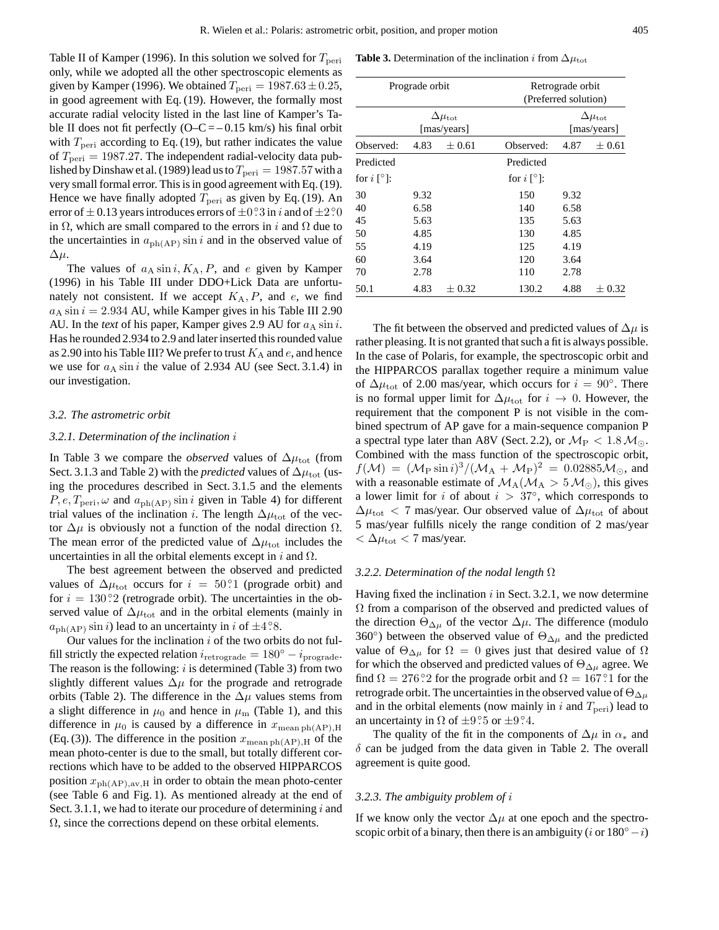Table II of Kamper (1996). In this solution we solved for  $T_{\text{peri}}$ only, while we adopted all the other spectroscopic elements as given by Kamper (1996). We obtained  $T_{\text{peri}} = 1987.63 \pm 0.25$ , in good agreement with Eq. (19). However, the formally most accurate radial velocity listed in the last line of Kamper's Table II does not fit perfectly  $(O-C = -0.15 \text{ km/s})$  his final orbit with  $T_{\text{peri}}$  according to Eq. (19), but rather indicates the value of  $T_{\text{peri}} = 1987.27$ . The independent radial-velocity data published by Dinshaw et al. (1989) lead us to  $T_{\text{peri}} = 1987.57$  with a very small formal error. This is in good agreement with Eq. (19). Hence we have finally adopted  $T_{\text{peri}}$  as given by Eq. (19). An error of  $\pm$  0.13 years introduces errors of  $\pm$ 0.23 in *i* and of  $\pm$ 2.20 in  $\Omega$ , which are small compared to the errors in i and  $\Omega$  due to the uncertainties in  $a_{ph(AP)}$  sin i and in the observed value of  $\Delta \mu$ .

The values of  $a_A \sin i$ ,  $K_A$ , P, and e given by Kamper (1996) in his Table III under DDO+Lick Data are unfortunately not consistent. If we accept  $K_A$ ,  $P$ , and  $e$ , we find  $a<sub>A</sub> sin i = 2.934$  AU, while Kamper gives in his Table III 2.90 AU. In the *text* of his paper, Kamper gives 2.9 AU for  $a<sub>A</sub> \sin i$ . Has he rounded 2.934 to 2.9 and later inserted this rounded value as 2.90 into his Table III? We prefer to trust  $K_A$  and e, and hence we use for  $a_A \sin i$  the value of 2.934 AU (see Sect. 3.1.4) in our investigation.

#### *3.2. The astrometric orbit*

#### *3.2.1. Determination of the inclination* i

In Table 3 we compare the *observed* values of  $\Delta \mu_{\text{tot}}$  (from Sect. 3.1.3 and Table 2) with the *predicted* values of  $\Delta \mu_{tot}$  (using the procedures described in Sect. 3.1.5 and the elements  $P, e, T_{\text{peri}}, \omega$  and  $a_{\text{ph}(AP)} \sin i$  given in Table 4) for different trial values of the inclination *i*. The length  $\Delta \mu_{\text{tot}}$  of the vector  $\Delta \mu$  is obviously not a function of the nodal direction  $\Omega$ . The mean error of the predicted value of  $\Delta \mu_{\rm tot}$  includes the uncertainties in all the orbital elements except in  $i$  and  $\Omega$ .

The best agreement between the observed and predicted values of  $\Delta \mu_{\rm tot}$  occurs for  $i = 50^\circ$ ? (prograde orbit) and for  $i = 130^\circ$ ? (retrograde orbit). The uncertainties in the observed value of  $\Delta \mu_{\rm tot}$  and in the orbital elements (mainly in  $a_{ph(AP)} \sin i$ ) lead to an uncertainty in i of  $\pm 4.8$ .

Our values for the inclination  $i$  of the two orbits do not fulfill strictly the expected relation  $i_{\text{retrograde}} = 180^\circ - i_{\text{prograde}}$ . The reason is the following:  $i$  is determined (Table 3) from two slightly different values  $\Delta \mu$  for the prograde and retrograde orbits (Table 2). The difference in the  $\Delta \mu$  values stems from a slight difference in  $\mu_0$  and hence in  $\mu_{\rm m}$  (Table 1), and this difference in  $\mu_0$  is caused by a difference in  $x_{\text{mean ph}(AP),H}$ (Eq. (3)). The difference in the position  $x_{\text{mean ph}(AP),H}$  of the mean photo-center is due to the small, but totally different corrections which have to be added to the observed HIPPARCOS position  $x_{ph(AP),av,H}$  in order to obtain the mean photo-center (see Table 6 and Fig. 1). As mentioned already at the end of Sect. 3.1.1, we had to iterate our procedure of determining  $i$  and  $\Omega$ , since the corrections depend on these orbital elements.

**Table 3.** Determination of the inclination i from  $\Delta \mu_{\text{tot}}$ 

|                           | Prograde orbit |                                       | Retrograde orbit<br>(Preferred solution) |            |                                      |
|---------------------------|----------------|---------------------------------------|------------------------------------------|------------|--------------------------------------|
|                           |                | $\Delta \mu_{\rm tot}$<br>[mas/years] |                                          |            | $\Delta\mu_{\rm tot}$<br>[mas/years] |
| Observed:                 | 4.83           | $+0.61$                               | Observed:                                | $\pm 0.61$ |                                      |
| Predicted                 |                |                                       | Predicted                                |            |                                      |
| for $i \upharpoonright$ ? |                |                                       | for $i \upharpoonright$ ?]:              |            |                                      |
| 30                        | 9.32           |                                       | 150                                      | 9.32       |                                      |
| 40                        | 6.58           |                                       | 140                                      | 6.58       |                                      |
| 45                        | 5.63           |                                       | 135                                      | 5.63       |                                      |
| 50                        | 4.85           |                                       | 130                                      | 4.85       |                                      |
| 55                        | 4.19           |                                       | 125                                      | 4.19       |                                      |
| 60                        | 3.64           |                                       | 120                                      | 3.64       |                                      |
| 70                        | 2.78           |                                       | 110                                      | 2.78       |                                      |
| 50.1                      | 4.83           | $\pm 0.32$                            | 130.2                                    | 4.88       | $\pm~0.32$                           |

The fit between the observed and predicted values of  $\Delta \mu$  is rather pleasing. It is not granted that such a fit is always possible. In the case of Polaris, for example, the spectroscopic orbit and the HIPPARCOS parallax together require a minimum value of  $\Delta \mu_{\text{tot}}$  of 2.00 mas/year, which occurs for  $i = 90^\circ$ . There is no formal upper limit for  $\Delta \mu_{tot}$  for  $i \to 0$ . However, the requirement that the component P is not visible in the combined spectrum of AP gave for a main-sequence companion P a spectral type later than A8V (Sect. 2.2), or  $\mathcal{M}_{\rm P} < 1.8 \mathcal{M}_{\odot}$ . Combined with the mass function of the spectroscopic orbit,  $f(\mathcal{M}) = (\mathcal{M}_{\rm P} \sin i)^3 / (\mathcal{M}_{\rm A} + \mathcal{M}_{\rm P})^2 = 0.02885 \mathcal{M}_{\odot}$ , and with a reasonable estimate of  $\mathcal{M}_A(\mathcal{M}_A > 5 \mathcal{M}_\odot)$ , this gives a lower limit for i of about  $i > 37^\circ$ , which corresponds to  $\Delta \mu_{\rm tot}$  < 7 mas/year. Our observed value of  $\Delta \mu_{\rm tot}$  of about 5 mas/year fulfills nicely the range condition of 2 mas/year  $< \Delta \mu_{\rm tot} < 7$  mas/year.

### *3.2.2. Determination of the nodal length* Ω

Having fixed the inclination  $i$  in Sect. 3.2.1, we now determine  $\Omega$  from a comparison of the observed and predicted values of the direction  $\Theta_{\Delta\mu}$  of the vector  $\Delta\mu$ . The difference (modulo 360<sup>°</sup>) between the observed value of  $\Theta_{\Delta\mu}$  and the predicted value of  $\Theta_{\Delta\mu}$  for  $\Omega=0$  gives just that desired value of  $\Omega$ for which the observed and predicted values of  $\Theta_{\Delta\mu}$  agree. We find  $\Omega = 276\degree 2$  for the prograde orbit and  $\Omega = 167\degree 1$  for the retrograde orbit. The uncertainties in the observed value of  $\Theta_{\Delta\mu}$ and in the orbital elements (now mainly in i and  $T_{\text{peri}}$ ) lead to an uncertainty in  $\Omega$  of  $\pm 9.5$  or  $\pm 9.4$ .

The quality of the fit in the components of  $\Delta \mu$  in  $\alpha_*$  and  $\delta$  can be judged from the data given in Table 2. The overall agreement is quite good.

#### *3.2.3. The ambiguity problem of* i

If we know only the vector  $\Delta \mu$  at one epoch and the spectroscopic orbit of a binary, then there is an ambiguity (*i* or  $180°-i$ )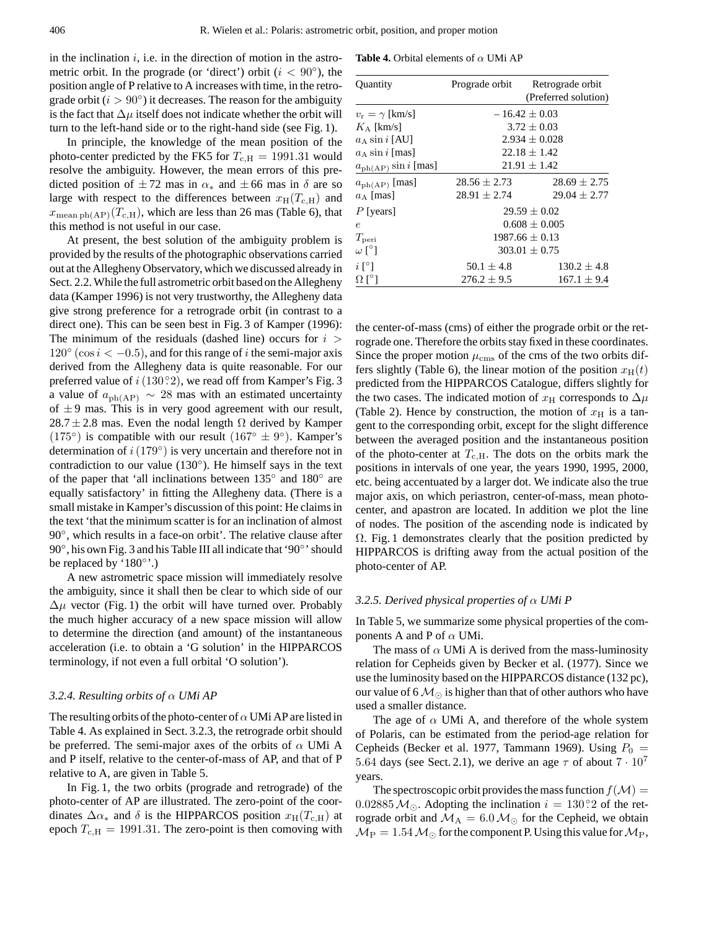in the inclination  $i$ , i.e. in the direction of motion in the astrometric orbit. In the prograde (or 'direct') orbit ( $i < 90^\circ$ ), the position angle of P relative to A increases with time, in the retrograde orbit  $(i > 90°)$  it decreases. The reason for the ambiguity is the fact that  $\Delta \mu$  itself does not indicate whether the orbit will turn to the left-hand side or to the right-hand side (see Fig. 1).

In principle, the knowledge of the mean position of the photo-center predicted by the FK5 for  $T_{c,H} = 1991.31$  would resolve the ambiguity. However, the mean errors of this predicted position of  $\pm 72$  mas in  $\alpha_*$  and  $\pm 66$  mas in  $\delta$  are so large with respect to the differences between  $x_H(T_{c,H})$  and  $x_{\text{mean bh(AP)}}(T_{\text{c,H}})$ , which are less than 26 mas (Table 6), that this method is not useful in our case.

At present, the best solution of the ambiguity problem is provided by the results of the photographic observations carried out at the Allegheny Observatory, which we discussed already in Sect. 2.2. While the full astrometric orbit based on the Allegheny data (Kamper 1996) is not very trustworthy, the Allegheny data give strong preference for a retrograde orbit (in contrast to a direct one). This can be seen best in Fig. 3 of Kamper (1996): The minimum of the residuals (dashed line) occurs for  $i >$  $120° (\cos i < -0.5)$ , and for this range of i the semi-major axis derived from the Allegheny data is quite reasonable. For our preferred value of  $i(130°2)$ , we read off from Kamper's Fig. 3 a value of  $a_{\text{ph}(AP)} \sim 28$  mas with an estimated uncertainty of  $\pm$  9 mas. This is in very good agreement with our result,  $28.7 \pm 2.8$  mas. Even the nodal length  $\Omega$  derived by Kamper (175°) is compatible with our result ( $167^\circ \pm 9^\circ$ ). Kamper's determination of  $i(179°)$  is very uncertain and therefore not in contradiction to our value (130◦ ). He himself says in the text of the paper that 'all inclinations between  $135^\circ$  and  $180^\circ$  are equally satisfactory' in fitting the Allegheny data. (There is a small mistake in Kamper's discussion of this point: He claims in the text 'that the minimum scatter is for an inclination of almost 90°, which results in a face-on orbit'. The relative clause after 90°, his own Fig. 3 and his Table III all indicate that '90°' should be replaced by '180<sup>°</sup>'.)

A new astrometric space mission will immediately resolve the ambiguity, since it shall then be clear to which side of our  $\Delta \mu$  vector (Fig. 1) the orbit will have turned over. Probably the much higher accuracy of a new space mission will allow to determine the direction (and amount) of the instantaneous acceleration (i.e. to obtain a 'G solution' in the HIPPARCOS terminology, if not even a full orbital 'O solution').

# *3.2.4. Resulting orbits of* α *UMi AP*

The resulting orbits of the photo-center of  $\alpha$  UMi AP are listed in Table 4. As explained in Sect. 3.2.3, the retrograde orbit should be preferred. The semi-major axes of the orbits of  $\alpha$  UMi A and P itself, relative to the center-of-mass of AP, and that of P relative to A, are given in Table 5.

In Fig. 1, the two orbits (prograde and retrograde) of the photo-center of AP are illustrated. The zero-point of the coordinates  $\Delta \alpha_*$  and  $\delta$  is the HIPPARCOS position  $x_H(T_{c,H})$  at epoch  $T_{c,H} = 1991.31$ . The zero-point is then comoving with

**Table 4.** Orbital elements of  $\alpha$  UMi AP

| Quantity                       | Prograde orbit    | Retrograde orbit     |  |  |  |  |  |
|--------------------------------|-------------------|----------------------|--|--|--|--|--|
|                                |                   | (Preferred solution) |  |  |  |  |  |
| $v_{\rm r} = \gamma$ [km/s]    |                   | $-16.42 + 0.03$      |  |  |  |  |  |
| $K_A$ [km/s]                   |                   | $3.72 \pm 0.03$      |  |  |  |  |  |
| $a_A \sin i$ [AU]              | $2.934 \pm 0.028$ |                      |  |  |  |  |  |
| $a_A \sin i$ [mas]             | $22.18 + 1.42$    |                      |  |  |  |  |  |
| $a_{\rm ph (AP)} \sin i$ [mas] | $21.91 \pm 1.42$  |                      |  |  |  |  |  |
| $a_{\rm ph(AP)}$ [mas]         | $28.56 \pm 2.73$  | $28.69 + 2.75$       |  |  |  |  |  |
| $a_A$ [mas]                    | $28.91 \pm 2.74$  | $29.04 \pm 2.77$     |  |  |  |  |  |
| $P$ [years]                    |                   | $29.59 + 0.02$       |  |  |  |  |  |
| $\epsilon$                     |                   | $0.608 \pm 0.005$    |  |  |  |  |  |
| $T_{\rm peri}$                 |                   | $1987.66 + 0.13$     |  |  |  |  |  |
| $\omega$ [°]                   |                   | $303.01 + 0.75$      |  |  |  |  |  |
| $i \, \lceil \, \circ \rceil$  | $50.1 \pm 4.8$    | $130.2 \pm 4.8$      |  |  |  |  |  |
| $\Omega$ [ $^{\circ}$ ]        | $276.2 \pm 9.5$   | $167.1 \pm 9.4$      |  |  |  |  |  |

the center-of-mass (cms) of either the prograde orbit or the retrograde one. Therefore the orbits stay fixed in these coordinates. Since the proper motion  $\mu_{\rm cms}$  of the cms of the two orbits differs slightly (Table 6), the linear motion of the position  $x_H(t)$ predicted from the HIPPARCOS Catalogue, differs slightly for the two cases. The indicated motion of  $x_H$  corresponds to  $\Delta \mu$ (Table 2). Hence by construction, the motion of  $x_H$  is a tangent to the corresponding orbit, except for the slight difference between the averaged position and the instantaneous position of the photo-center at  $T_{c,H}$ . The dots on the orbits mark the positions in intervals of one year, the years 1990, 1995, 2000, etc. being accentuated by a larger dot. We indicate also the true major axis, on which periastron, center-of-mass, mean photocenter, and apastron are located. In addition we plot the line of nodes. The position of the ascending node is indicated by  $\Omega$ . Fig. 1 demonstrates clearly that the position predicted by HIPPARCOS is drifting away from the actual position of the photo-center of AP.

### *3.2.5. Derived physical properties of* α *UMi P*

In Table 5, we summarize some physical properties of the components A and P of  $\alpha$  UMi.

The mass of  $\alpha$  UMi A is derived from the mass-luminosity relation for Cepheids given by Becker et al. (1977). Since we use the luminosity based on the HIPPARCOS distance (132 pc), our value of 6  $\mathcal{M}_{\odot}$  is higher than that of other authors who have used a smaller distance.

The age of  $\alpha$  UMi A, and therefore of the whole system of Polaris, can be estimated from the period-age relation for Cepheids (Becker et al. 1977, Tammann 1969). Using  $P_0$  = 5.64 days (see Sect. 2.1), we derive an age  $\tau$  of about  $7 \cdot 10^7$ years.

The spectroscopic orbit provides the mass function  $f(\mathcal{M}) =$ 0.02885  $M_{\odot}$ . Adopting the inclination  $i = 130\degree$ ? of the retrograde orbit and  $\mathcal{M}_A = 6.0 \,\mathcal{M}_\odot$  for the Cepheid, we obtain  $M_{\rm P} = 1.54 M_{\odot}$  for the component P. Using this value for  $M_{\rm P}$ ,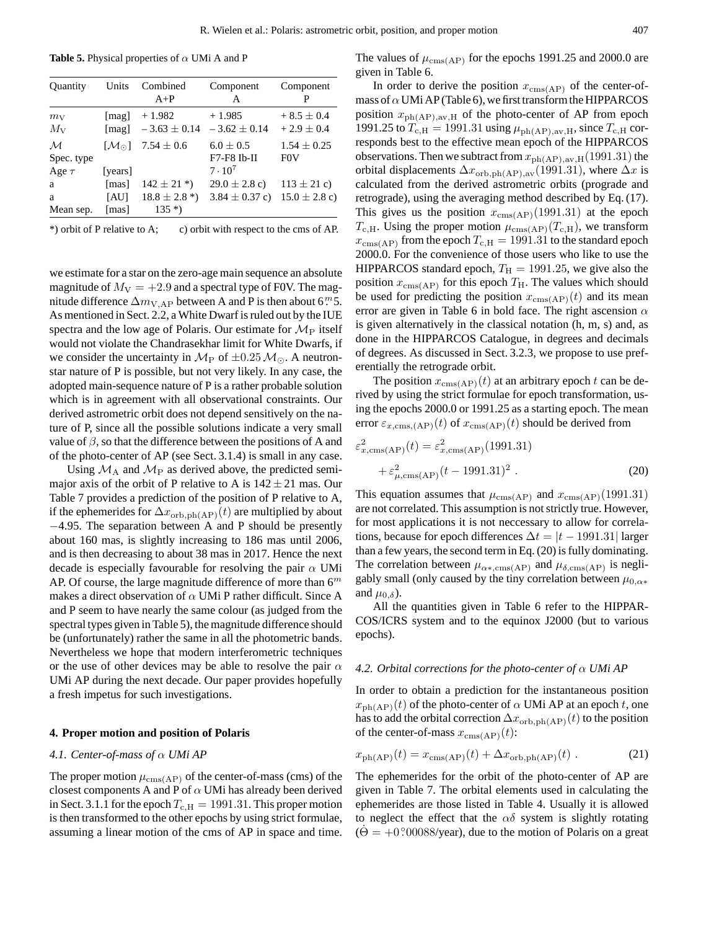**Table 5.** Physical properties of  $\alpha$  UMi A and P

| Quantity                   | Units              | Combined<br>$A+P$            | Component<br>A                 | Component<br>P                   |
|----------------------------|--------------------|------------------------------|--------------------------------|----------------------------------|
| $m_{\rm V}$<br>$M_{\rm V}$ | [ $mag$ ]<br>[mag] | $+1.982$<br>$-3.63 \pm 0.14$ | $+1.985$<br>$-3.62 \pm 0.14$   | $+8.5 \pm 0.4$<br>$+2.9 \pm 0.4$ |
| $\mathcal M$<br>Spec. type | $[M_{\odot}]$      | $7.54 \pm 0.6$               | $6.0 \pm 0.5$<br>$F7-F8$ Ib-II | $1.54 \pm 0.25$<br><b>FOV</b>    |
| Age $\tau$                 | [years]            |                              | $7 \cdot 10^7$                 |                                  |
| a                          | [mas]              | $142 \pm 21$ *)              | $29.0 \pm 2.8$ c)              | $113 \pm 21$ c)                  |
| a                          | [AU]               | $18.8 \pm 2.8*)$             | $3.84 \pm 0.37$ c)             | $15.0 \pm 2.8$ c)                |
| Mean sep.                  | [mas]              | $135*)$                      |                                |                                  |

\*) orbit of P relative to A; c) orbit with respect to the cms of AP.

we estimate for a star on the zero-age main sequence an absolute magnitude of  $M_V = +2.9$  and a spectral type of F0V. The magnitude difference  $\Delta m_{V,AP}$  between A and P is then about 6<sup>*m*</sup>5. As mentioned in Sect. 2.2, a White Dwarf is ruled out by the IUE spectra and the low age of Polaris. Our estimate for  $\mathcal{M}_{P}$  itself would not violate the Chandrasekhar limit for White Dwarfs, if we consider the uncertainty in  $\mathcal{M}_{\text{P}}$  of  $\pm 0.25 \mathcal{M}_{\odot}$ . A neutronstar nature of P is possible, but not very likely. In any case, the adopted main-sequence nature of P is a rather probable solution which is in agreement with all observational constraints. Our derived astrometric orbit does not depend sensitively on the nature of P, since all the possible solutions indicate a very small value of  $\beta$ , so that the difference between the positions of A and of the photo-center of AP (see Sect. 3.1.4) is small in any case.

Using  $\mathcal{M}_A$  and  $\mathcal{M}_P$  as derived above, the predicted semimajor axis of the orbit of P relative to A is  $142 \pm 21$  mas. Our Table 7 provides a prediction of the position of P relative to A, if the ephemerides for  $\Delta x_{\text{orb,ph}(AP)}(t)$  are multiplied by about −4.95. The separation between A and P should be presently about 160 mas, is slightly increasing to 186 mas until 2006, and is then decreasing to about 38 mas in 2017. Hence the next decade is especially favourable for resolving the pair  $\alpha$  UMi AP. Of course, the large magnitude difference of more than  $6<sup>m</sup>$ makes a direct observation of  $\alpha$  UMi P rather difficult. Since A and P seem to have nearly the same colour (as judged from the spectral types given in Table 5), the magnitude difference should be (unfortunately) rather the same in all the photometric bands. Nevertheless we hope that modern interferometric techniques or the use of other devices may be able to resolve the pair  $\alpha$ UMi AP during the next decade. Our paper provides hopefully a fresh impetus for such investigations.

### **4. Proper motion and position of Polaris**

### *4.1. Center-of-mass of* α *UMi AP*

The proper motion  $\mu_{\text{cms}(AP)}$  of the center-of-mass (cms) of the closest components A and P of  $\alpha$  UMi has already been derived in Sect. 3.1.1 for the epoch  $T_{c,H} = 1991.31$ . This proper motion is then transformed to the other epochs by using strict formulae, assuming a linear motion of the cms of AP in space and time. The values of  $\mu_{\text{cms}(AP)}$  for the epochs 1991.25 and 2000.0 are given in Table 6.

In order to derive the position  $x_{\text{cms}(AP)}$  of the center-ofmass of  $\alpha$  UMi AP (Table 6), we first transform the HIPPARCOS position  $x_{ph(AP),av,H}$  of the photo-center of AP from epoch 1991.25 to  $T_{c,H} = 1991.31$  using  $\mu_{ph(AP),av,H}$ , since  $T_{c,H}$  corresponds best to the effective mean epoch of the HIPPARCOS observations. Then we subtract from  $x_{ph(AP),av,H}(1991.31)$  the orbital displacements  $\Delta x_{\text{orb,ph(AP),av}}(1991.31)$ , where  $\Delta x$  is calculated from the derived astrometric orbits (prograde and retrograde), using the averaging method described by Eq. (17). This gives us the position  $x_{\text{cms}(AP)}(1991.31)$  at the epoch  $T_{\rm c,H}$ . Using the proper motion  $\mu_{\rm cms(AP)}(T_{\rm c,H})$ , we transform  $x_{\text{cms(AP)}}$  from the epoch  $T_{c,H} = 1991.31$  to the standard epoch 2000.0. For the convenience of those users who like to use the HIPPARCOS standard epoch,  $T_H = 1991.25$ , we give also the position  $x_{\text{cms}(AP)}$  for this epoch  $T_H$ . The values which should be used for predicting the position  $x_{\text{cms}(AP)}(t)$  and its mean error are given in Table 6 in bold face. The right ascension  $\alpha$ is given alternatively in the classical notation (h, m, s) and, as done in the HIPPARCOS Catalogue, in degrees and decimals of degrees. As discussed in Sect. 3.2.3, we propose to use preferentially the retrograde orbit.

The position  $x_{\text{cms}(AP)}(t)$  at an arbitrary epoch t can be derived by using the strict formulae for epoch transformation, using the epochs 2000.0 or 1991.25 as a starting epoch. The mean error  $\varepsilon_{x,\text{cms,(AP)}}(t)$  of  $x_{\text{cms(AP)}}(t)$  should be derived from

$$
\varepsilon_{x, \text{cms}(AP)}^2(t) = \varepsilon_{x, \text{cms}(AP)}^2(1991.31) + \varepsilon_{\mu, \text{cms}(AP)}^2(t - 1991.31)^2.
$$
\n(20)

This equation assumes that  $\mu_{\rm cms(AP)}$  and  $x_{\rm cms(AP)}(1991.31)$ are not correlated. This assumption is not strictly true. However, for most applications it is not neccessary to allow for correlations, because for epoch differences  $\Delta t = |t - 1991.31|$  larger than a few years, the second term in Eq. (20) is fully dominating. The correlation between  $\mu_{\alpha*,\text{cms}(AP)}$  and  $\mu_{\delta,\text{cms}(AP)}$  is negligably small (only caused by the tiny correlation between  $\mu_{0,\alpha*}$ and  $\mu_{0,\delta}$ ).

All the quantities given in Table 6 refer to the HIPPAR-COS/ICRS system and to the equinox J2000 (but to various epochs).

#### *4.2. Orbital corrections for the photo-center of* α *UMi AP*

In order to obtain a prediction for the instantaneous position  $x_{ph(AP)}(t)$  of the photo-center of  $\alpha$  UMi AP at an epoch t, one has to add the orbital correction  $\Delta x_{\text{orb,ph}(AP)}(t)$  to the position of the center-of-mass  $x_{\text{cms}(AP)}(t)$ :

$$
x_{\text{ph}(AP)}(t) = x_{\text{cms}(AP)}(t) + \Delta x_{\text{orb},\text{ph}(AP)}(t) . \tag{21}
$$

The ephemerides for the orbit of the photo-center of AP are given in Table 7. The orbital elements used in calculating the ephemerides are those listed in Table 4. Usually it is allowed to neglect the effect that the  $\alpha\delta$  system is slightly rotating  $(\dot{\Theta} = +0°00088/\text{year})$ , due to the motion of Polaris on a great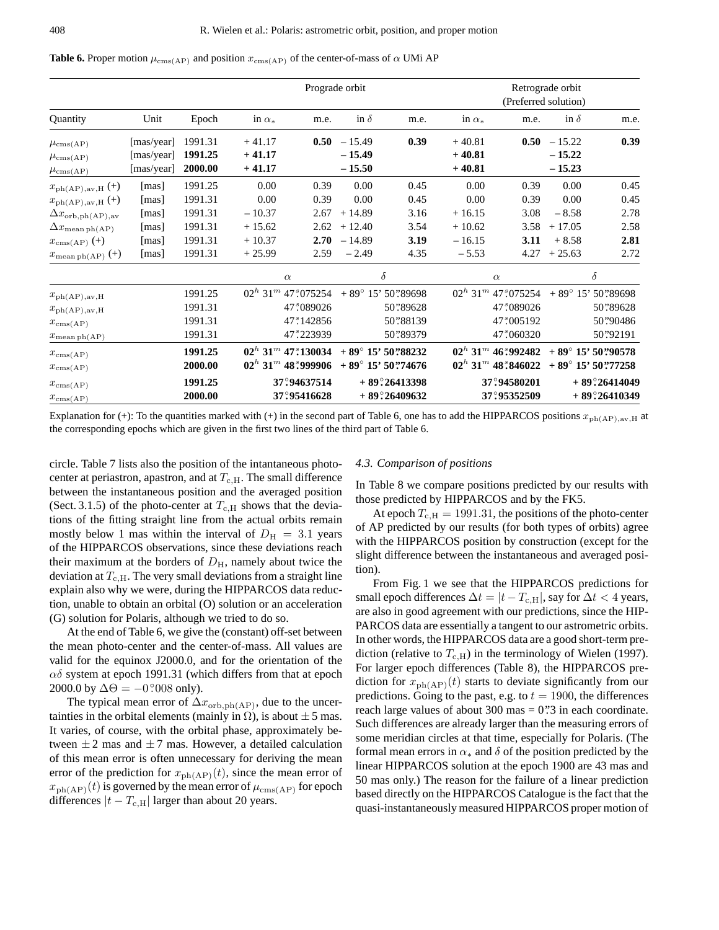|                                                  | Prograde orbit                         |                               |                                  |                                               |                                  |                      | Retrograde orbit<br>(Preferred solution) |                                                |                                  |                             |
|--------------------------------------------------|----------------------------------------|-------------------------------|----------------------------------|-----------------------------------------------|----------------------------------|----------------------|------------------------------------------|------------------------------------------------|----------------------------------|-----------------------------|
| Quantity                                         | Unit                                   | Epoch                         | in $\alpha_*$                    | m.e.                                          | in $\delta$                      | m.e.                 | in $\alpha_*$                            | m.e.                                           | in $\delta$                      | m.e.                        |
| $\mu_{\rm cms(AP)}$<br>$\mu_{\rm cms(AP)}$       | [mas/year]<br>[mas/year]<br>[mas/year] | 1991.31<br>1991.25<br>2000.00 | $+41.17$<br>$+41.17$<br>$+41.17$ | 0.50                                          | $-15.49$<br>$-15.49$<br>$-15.50$ | 0.39                 | $+40.81$<br>$+40.81$<br>$+40.81$         | 0.50                                           | $-15.22$<br>$-15.22$<br>$-15.23$ | 0.39                        |
| $\mu_{\rm cms(AP)}$<br>$x_{\rm ph(AP),av,H}$ (+) | [mas]                                  | 1991.25                       | 0.00                             | 0.39                                          | 0.00                             | 0.45                 | 0.00                                     | 0.39                                           | 0.00                             | 0.45                        |
| $x_{\rm ph(AP),av,H}$ (+)                        | [mas]                                  | 1991.31                       | 0.00                             | 0.39                                          | 0.00                             | 0.45                 | 0.00                                     | 0.39                                           | 0.00                             | 0.45                        |
| $\Delta x_{\rm orb,ph(AP),av}$                   | [mas]                                  | 1991.31                       | $-10.37$                         | 2.67                                          | $+14.89$                         | 3.16                 | $+16.15$                                 | 3.08                                           | $-8.58$                          | 2.78                        |
| $\Delta x_{\text{mean ph(AP)}}$                  | [mas]                                  | 1991.31                       | $+15.62$                         | 2.62                                          | $+12.40$                         | 3.54                 | $+10.62$                                 | 3.58                                           | $+17.05$                         | 2.58                        |
| $x_{\text{cms}(AP)}$ (+)                         | [mas]                                  | 1991.31                       | $+10.37$                         | 2.70                                          | $-14.89$                         | 3.19                 | $-16.15$                                 | 3.11                                           | $+8.58$                          | 2.81                        |
| $x_{\text{mean ph(AP)}}$ (+)                     | [mas]                                  | 1991.31                       | $+25.99$                         | 2.59                                          | $-2.49$                          | 4.35                 | $-5.53$                                  | 4.27                                           | $+25.63$                         | 2.72                        |
|                                                  |                                        |                               |                                  | $\alpha$                                      | $\delta$                         |                      | $\alpha$                                 |                                                |                                  | $\delta$                    |
| $x_{\rm ph(AP),av,H}$                            |                                        | 1991.25                       |                                  | $02^h$ 31 <sup>m</sup> 47 <sup>s</sup> 075254 | $+89^{\circ}$ 15' 50''89698      |                      |                                          | $02^h$ 31 <sup>m</sup> 47 <sup>s</sup> .075254 |                                  | $+89^{\circ}$ 15' 50''89698 |
| $x_{\rm ph(AP),av,H}$                            |                                        | 1991.31                       |                                  | 47.089026                                     |                                  | 50"89628             |                                          | 47.089026                                      |                                  | 50"89628                    |
| $x_{\rm cms(AP)}$                                |                                        | 1991.31                       |                                  | 47.142856                                     |                                  | 50"88139             |                                          | 47.005192                                      |                                  | 50"90486                    |
| $x_{\text{mean ph}(AP)}$                         |                                        | 1991.31                       |                                  | 47 <sup>5</sup> 223939                        |                                  | 50"89379             |                                          | 47:060320                                      |                                  | 50"92191                    |
| $x_{\text{cms}(AP)}$                             |                                        | 1991.25                       |                                  | $02^h$ 31 <sup>m</sup> 47° 130034             | $+89^{\circ}$ 15' 50''88232      |                      |                                          | $02^h$ 31 <sup>m</sup> 46:992482               |                                  | $+89^{\circ}$ 15' 50''90578 |
| $x_{\text{cms}(AP)}$                             |                                        | 2000.00                       |                                  | $02^h$ 31 <sup>m</sup> 48:999906              | $+89^{\circ}$ 15' 50''74676      |                      |                                          | $02^h$ 31 <sup>m</sup> 48:846022               |                                  | $+89^{\circ}$ 15' 50''77258 |
| $x_{\text{cms}(AP)}$                             |                                        | 1991.25                       |                                  | 37°94637514                                   |                                  | $+89^\circ$ 26413398 |                                          | 37°94580201                                    |                                  | $+89^\circ$ 26414049        |

Explanation for (+): To the quantities marked with (+) in the second part of Table 6, one has to add the HIPPARCOS positions  $x_{ph(AP),av,H}$  at the corresponding epochs which are given in the first two lines of the third part of Table 6.

37°,95416628

circle. Table 7 lists also the position of the intantaneous photocenter at periastron, apastron, and at  $T_{c,H}$ . The small difference between the instantaneous position and the averaged position (Sect. 3.1.5) of the photo-center at  $T_{c,H}$  shows that the deviations of the fitting straight line from the actual orbits remain mostly below 1 mas within the interval of  $D_{\rm H} = 3.1$  years of the HIPPARCOS observations, since these deviations reach their maximum at the borders of  $D<sub>H</sub>$ , namely about twice the deviation at  $T_{c,H}$ . The very small deviations from a straight line explain also why we were, during the HIPPARCOS data reduction, unable to obtain an orbital (O) solution or an acceleration (G) solution for Polaris, although we tried to do so.

 $x_{\rm cms(AP)}$  **2000.00** 

At the end of Table 6, we give the (constant) off-set between the mean photo-center and the center-of-mass. All values are valid for the equinox J2000.0, and for the orientation of the  $\alpha\delta$  system at epoch 1991.31 (which differs from that at epoch 2000.0 by  $\Delta\Theta = -0^\circ 008$  only).

The typical mean error of  $\Delta x_{\text{orb,ph(AP)}}$ , due to the uncertainties in the orbital elements (mainly in  $\Omega$ ), is about  $\pm 5$  mas. It varies, of course, with the orbital phase, approximately between  $\pm 2$  mas and  $\pm 7$  mas. However, a detailed calculation of this mean error is often unnecessary for deriving the mean error of the prediction for  $x_{ph(AP)}(t)$ , since the mean error of  $x_{ph(AP)}(t)$  is governed by the mean error of  $\mu_{cms(AP)}$  for epoch differences  $|t - T_{\text{c,H}}|$  larger than about 20 years.

### *4.3. Comparison of positions*

**26409632** + 89?26409632

In Table 8 we compare positions predicted by our results with those predicted by HIPPARCOS and by the FK5.

37°,95352509

**26410349**

At epoch  $T_{c,H} = 1991.31$ , the positions of the photo-center of AP predicted by our results (for both types of orbits) agree with the HIPPARCOS position by construction (except for the slight difference between the instantaneous and averaged position).

From Fig. 1 we see that the HIPPARCOS predictions for small epoch differences  $\Delta t = |t - T_{\text{c,H}}|$ , say for  $\Delta t < 4$  years, are also in good agreement with our predictions, since the HIP-PARCOS data are essentially a tangent to our astrometric orbits. In other words, the HIPPARCOS data are a good short-term prediction (relative to  $T_{c,H}$ ) in the terminology of Wielen (1997). For larger epoch differences (Table 8), the HIPPARCOS prediction for  $x_{\text{ph}(AP)}(t)$  starts to deviate significantly from our predictions. Going to the past, e.g. to  $t = 1900$ , the differences reach large values of about  $300 \text{ mas} = 0$ .  $3 \text{ in each coordinate.}$ Such differences are already larger than the measuring errors of some meridian circles at that time, especially for Polaris. (The formal mean errors in  $\alpha_*$  and  $\delta$  of the position predicted by the linear HIPPARCOS solution at the epoch 1900 are 43 mas and 50 mas only.) The reason for the failure of a linear prediction based directly on the HIPPARCOS Catalogue is the fact that the quasi-instantaneously measured HIPPARCOS proper motion of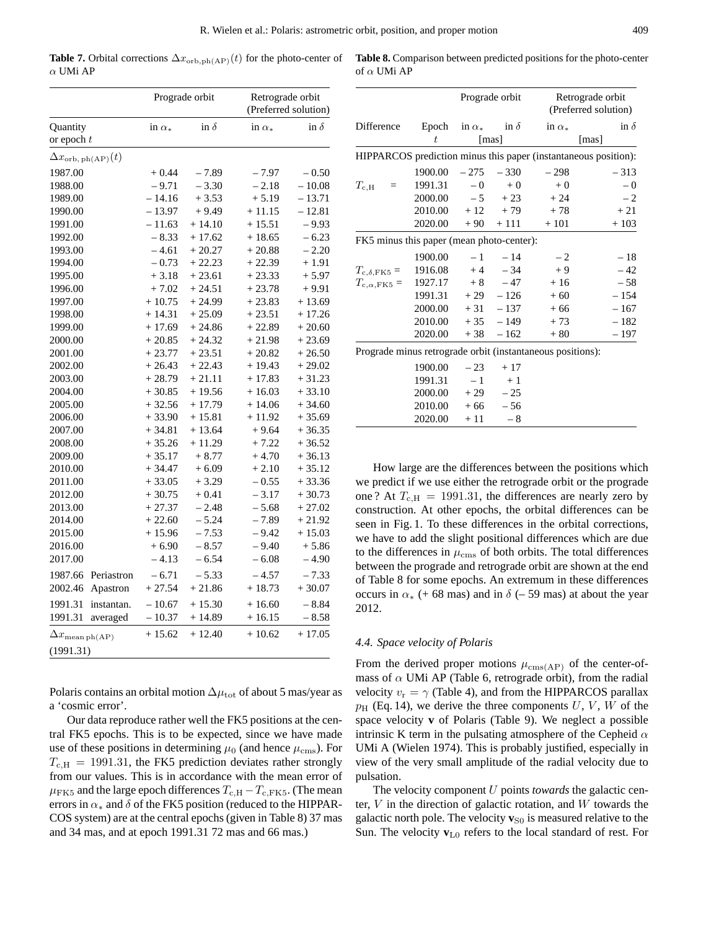**Table 7.** Orbital corrections  $\Delta x_{\text{orb,ph}(AP)}(t)$  for the photo-center of α UMi AP

|                                  | Prograde orbit |             | Retrograde orbit<br>(Preferred solution) |             |
|----------------------------------|----------------|-------------|------------------------------------------|-------------|
| Quantity<br>or epoch $t$         | in $\alpha_*$  | in $\delta$ | in $\alpha_*$                            | in $\delta$ |
| $\Delta x_{\rm orb,\,ph(AP)}(t)$ |                |             |                                          |             |
| 1987.00                          | $+0.44$        | $-7.89$     | $-7.97$                                  | $-0.50$     |
| 1988.00                          | $-9.71$        | $-3.30$     | $-2.18$                                  | $-10.08$    |
| 1989.00                          | $-14.16$       | $+3.53$     | $+ 5.19$                                 | - 13.71     |
| 1990.00                          | $-13.97$       | $+9.49$     | $+11.15$                                 | $-12.81$    |
| 1991.00                          | $-11.63$       | $+14.10$    | $+15.51$                                 | $-9.93$     |
| 1992.00                          | $-8.33$        | $+17.62$    | $+18.65$                                 | $-6.23$     |
| 1993.00                          | $-4.61$        | $+20.27$    | $+20.88$                                 | $-2.20$     |
| 1994.00                          | $-0.73$        | $+22.23$    | $+22.39$                                 | $+1.91$     |
| 1995.00                          | $+3.18$        | $+23.61$    | $+23.33$                                 | $+5.97$     |
| 1996.00                          | $+7.02$        | $+24.51$    | $+23.78$                                 | + 9.91      |
| 1997.00                          | $+10.75$       | $+24.99$    | $+23.83$                                 | $+13.69$    |
| 1998.00                          | $+14.31$       | $+25.09$    | $+23.51$                                 | $+17.26$    |
| 1999.00                          | $+17.69$       | $+24.86$    | $+22.89$                                 | $+20.60$    |
| 2000.00                          | $+20.85$       | $+24.32$    | $+21.98$                                 | $+23.69$    |
| 2001.00                          | $+23.77$       | $+23.51$    | $+20.82$                                 | $+26.50$    |
| 2002.00                          | $+26.43$       | $+22.43$    | $+19.43$                                 | $+29.02$    |
| 2003.00                          | $+28.79$       | $+21.11$    | $+17.83$                                 | $+31.23$    |
| 2004.00                          | $+30.85$       | $+19.56$    | $+16.03$                                 | $+33.10$    |
| 2005.00                          | $+32.56$       | $+17.79$    | $+14.06$                                 | $+34.60$    |
| 2006.00                          | $+33.90$       | $+15.81$    | $+11.92$                                 | $+35.69$    |
| 2007.00                          | $+34.81$       | $+13.64$    | $+9.64$                                  | $+36.35$    |
| 2008.00                          | $+35.26$       | $+11.29$    | $+7.22$                                  | $+36.52$    |
| 2009.00                          | $+35.17$       | $+8.77$     | $+4.70$                                  | $+36.13$    |
| 2010.00                          | $+34.47$       | $+6.09$     | $+2.10$                                  | $+35.12$    |
| 2011.00                          | $+33.05$       | $+3.29$     | $-0.55$                                  | $+33.36$    |
| 2012.00                          | $+30.75$       | $+0.41$     | $-3.17$                                  | $+30.73$    |
| 2013.00                          | $+27.37$       | $-2.48$     | $-5.68$                                  | $+27.02$    |
| 2014.00                          | $+22.60$       | $-5.24$     | $-7.89$                                  | $+21.92$    |
| 2015.00                          | $+15.96$       | $-7.53$     | $-9.42$                                  | $+15.03$    |
| 2016.00                          | $+6.90$        | $-8.57$     | $-9.40$                                  | $+5.86$     |
| 2017.00                          | $-4.13$        | $-6.54$     | $-6.08$                                  | $-4.90$     |
| 1987.66<br>Periastron            | $-6.71$        | $-5.33$     | $-4.57$                                  | $-7.33$     |
| 2002.46<br>Apastron              | $+27.54$       | $+21.86$    | $+18.73$                                 | $+30.07$    |
| 1991.31<br>instantan.            | $-10.67$       | $+15.30$    | $+16.60$                                 | $-8.84$     |
| 1991.31<br>averaged              | $-10.37$       | $+14.89$    | $+16.15$                                 | $-8.58$     |
| $\Delta x_\text{mean\,ph(AP)}$   | $+15.62$       | $+12.40$    | $+10.62$                                 | $+17.05$    |
| (1991.31)                        |                |             |                                          |             |

Polaris contains an orbital motion  $\Delta \mu_{tot}$  of about 5 mas/year as a 'cosmic error'.

Our data reproduce rather well the FK5 positions at the central FK5 epochs. This is to be expected, since we have made use of these positions in determining  $\mu_0$  (and hence  $\mu_{\rm cms}$ ). For  $T_{\text{c,H}} = 1991.31$ , the FK5 prediction deviates rather strongly from our values. This is in accordance with the mean error of  $\mu$ <sub>FK5</sub> and the large epoch differences  $T_{c,H} - T_{c,FK5}$ . (The mean errors in  $\alpha_*$  and  $\delta$  of the FK5 position (reduced to the HIPPAR-COS system) are at the central epochs (given in Table 8) 37 mas and 34 mas, and at epoch 1991.31 72 mas and 66 mas.)

**Table 8.** Comparison between predicted positions for the photo-center of  $\alpha$  UMi AP

|                                                            |                     | Prograde orbit      |             |               | Retrograde orbit<br>(Preferred solution)                        |
|------------------------------------------------------------|---------------------|---------------------|-------------|---------------|-----------------------------------------------------------------|
| Difference                                                 |                     | Epoch in $\alpha_*$ | in $\delta$ | in $\alpha_*$ | in $\delta$                                                     |
|                                                            | t                   |                     | [mas]       |               | [mas]                                                           |
|                                                            |                     |                     |             |               | HIPPARCOS prediction minus this paper (instantaneous position): |
|                                                            | 1900.00             | $-275$              | $-330$      | $-298$        | $-313$                                                          |
| $T_{\mathrm{c,H}}$<br>$\equiv$                             | 1991.31             |                     | $-0$ + 0    | $+0$          | $-0$                                                            |
|                                                            | 2000.00             | $-5$                | $+23$       | $+24$         | $-2$                                                            |
|                                                            | $2010.00 + 12 + 79$ |                     |             | $+78$         | $+21$                                                           |
|                                                            | 2020.00             |                     | $+90 + 111$ | $+101$        | $+103$                                                          |
| FK5 minus this paper (mean photo-center):                  |                     |                     |             |               |                                                                 |
|                                                            | 1900.00             |                     | $-1$ $-14$  | $-2$          | $-18$                                                           |
| $T_{\rm c, \delta, FK5}$ =                                 | $1916.08 + 4 - 34$  |                     |             | $+9$          | $-42$                                                           |
| $T_{\rm c,\alpha,FK5}$ =                                   | $1927.17 + 8 - 47$  |                     |             | $+16$         | $-58$                                                           |
|                                                            | 1991.31             |                     | $+29 - 126$ | $+60$         | $-154$                                                          |
|                                                            | 2000.00             |                     | $+31 - 137$ | $+66$         | $-167$                                                          |
|                                                            | 2010.00             |                     | $+35 - 149$ | $+73$         | $-182$                                                          |
|                                                            | 2020.00             |                     | $+38 - 162$ | $+80$         | - 197                                                           |
| Prograde minus retrograde orbit (instantaneous positions): |                     |                     |             |               |                                                                 |
|                                                            | 1900.00             | $-23$               | $+17$       |               |                                                                 |
|                                                            | 1991.31             | $-1$                | $+1$        |               |                                                                 |
|                                                            | 2000.00             | $+29$               | $-25$       |               |                                                                 |
|                                                            | 2010.00             | $+66$               | $-56$       |               |                                                                 |
|                                                            | 2020.00             | $+11$               | $-8$        |               |                                                                 |

How large are the differences between the positions which we predict if we use either the retrograde orbit or the prograde one ? At  $T_{\rm c,H}$  = 1991.31, the differences are nearly zero by construction. At other epochs, the orbital differences can be seen in Fig. 1. To these differences in the orbital corrections, we have to add the slight positional differences which are due to the differences in  $\mu_{\rm cms}$  of both orbits. The total differences between the prograde and retrograde orbit are shown at the end of Table 8 for some epochs. An extremum in these differences occurs in  $\alpha_*$  (+ 68 mas) and in  $\delta$  (– 59 mas) at about the year 2012.

### *4.4. Space velocity of Polaris*

From the derived proper motions  $\mu_{\text{cms}(AP)}$  of the center-ofmass of  $\alpha$  UMi AP (Table 6, retrograde orbit), from the radial velocity  $v_r = \gamma$  (Table 4), and from the HIPPARCOS parallax  $p_H$  (Eq. 14), we derive the three components U, V, W of the space velocity **v** of Polaris (Table 9). We neglect a possible intrinsic K term in the pulsating atmosphere of the Cepheid  $\alpha$ UMi A (Wielen 1974). This is probably justified, especially in view of the very small amplitude of the radial velocity due to pulsation.

The velocity component U points *towards* the galactic center,  $V$  in the direction of galactic rotation, and  $W$  towards the galactic north pole. The velocity  $\mathbf{v}_{\text{SO}}$  is measured relative to the Sun. The velocity  $v_{L0}$  refers to the local standard of rest. For